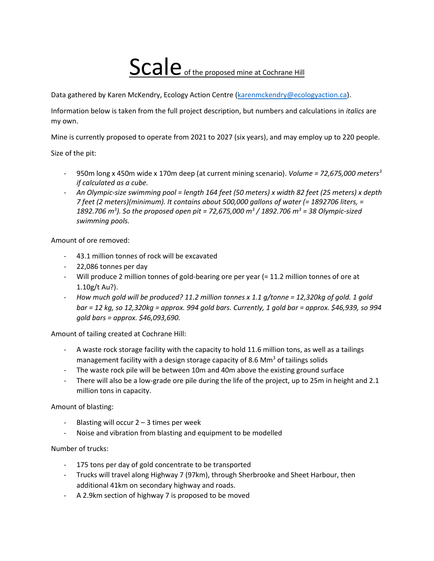## Scale of the proposed mine at Cochrane Hill

Data gathered by Karen McKendry, Ecology Action Centre (**karenmckendry@ecologyaction.ca**).

Information below is taken from the full project description, but numbers and calculations in *italics* are my own.

Mine is currently proposed to operate from 2021 to 2027 (six years), and may employ up to 220 people.

Size of the pit:

- 950m long x 450m wide x 170m deep (at current mining scenario). *Volume = 72,675,000 meters<sup>3</sup> if calculated as a cube.*
- *An Olympic-size swimming pool = length 164 feet (50 meters) x width 82 feet (25 meters) x depth 7 feet (2 meters)(minimum). It contains about 500,000 gallons of water (= 1892706 liters, = 1892.706 m<sup>3</sup> ). So the proposed open pit = 72,675,000 m<sup>3</sup> / 1892.706 m<sup>3</sup> = 38 Olympic-sized swimming pools.*

Amount of ore removed:

- 43.1 million tonnes of rock will be excavated
- 22,086 tonnes per day
- Will produce 2 million tonnes of gold-bearing ore per year (= 11.2 million tonnes of ore at 1.10g/t Au?).
- *How much gold will be produced? 11.2 million tonnes x 1.1 g/tonne = 12,320kg of gold. 1 gold bar = 12 kg, so 12,320kg = approx. 994 gold bars. Currently, 1 gold bar = approx. \$46,939, so 994 gold bars = approx. \$46,093,690.*

Amount of tailing created at Cochrane Hill:

- A waste rock storage facility with the capacity to hold 11.6 million tons, as well as a tailings management facility with a design storage capacity of 8.6 Mm<sup>3</sup> of tailings solids
- The waste rock pile will be between 10m and 40m above the existing ground surface
- There will also be a low-grade ore pile during the life of the project, up to 25m in height and 2.1 million tons in capacity.

Amount of blasting:

- Blasting will occur  $2 3$  times per week
- Noise and vibration from blasting and equipment to be modelled

Number of trucks:

- 175 tons per day of gold concentrate to be transported
- Trucks will travel along Highway 7 (97km), through Sherbrooke and Sheet Harbour, then additional 41km on secondary highway and roads.
- A 2.9km section of highway 7 is proposed to be moved